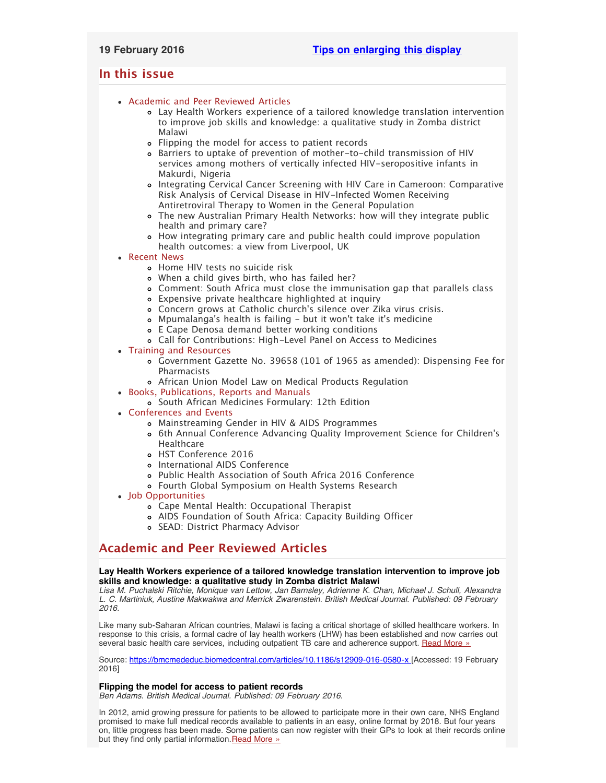## <span id="page-0-3"></span><span id="page-0-2"></span>**In this issue**

- [Academic and Peer Reviewed Articles](#page-0-0)
	- [Lay Health Workers experience of a tailored knowledge translation intervention](#page-0-1) [to improve job skills and knowledge: a qualitative study in Zomba district](#page-0-1) [Malawi](#page-0-1)
	- [Flipping the model for access to patient records](#page-0-1)
	- [Barriers to uptake of prevention of mother-to-child transmission of HIV](#page-1-0) [services among mothers of vertically infected HIV-seropositive infants in](#page-1-0) [Makurdi, Nigeria](#page-1-0)
	- [Integrating Cervical Cancer Screening with HIV Care in Cameroon: Comparative](#page-1-0) [Risk Analysis of Cervical Disease in HIV-Infected Women Receiving](#page-1-0) [Antiretroviral Therapy to Women in the General Population](#page-1-0)
	- [The new Australian Primary Health Networks: how will they integrate public](#page-1-0) [health and primary care?](#page-1-0)
	- [How integrating primary care and public health could improve population](#page-1-0) [health outcomes: a view from Liverpool, UK](#page-1-0)
- [Recent News](#page-1-1)
	- [Home HIV tests no suicide risk](#page-1-2)
	- [When a child gives birth, who has failed her?](#page-1-2)
	- [Comment: South Africa must close the immunisation gap that parallels class](#page-2-0)
	- [Expensive private healthcare highlighted at inquiry](#page-2-1)
	- Concern grows at Catholic church['s silence over Zika virus crisis.](#page-2-2)
	- Mpumalanga['s health is failing but it won't take it's medicine](#page-0-2)
	- [E Cape Denosa demand better working conditions](#page-2-0)
	- [Call for Contributions: High-Level Panel on Access to Medicines](#page-2-1)
- [Training and Resources](#page-4-0)
	- [Government Gazette No. 39658 \(101 of 1965 as amended\): Dispensing Fee for](#page-3-0) [Pharmacists](#page-3-0)
	- [African Union Model Law on Medical Products Regulation](#page-3-0)
- [Books, Publications, Reports and Manuals](#page-3-1)
	- [South African Medicines Formulary: 12th Edition](#page-3-2)
- [Conferences and Events](#page-3-3)
	- [Mainstreaming Gender in HIV & AIDS Programmes](#page-4-1)
	- [6th Annual Conference Advancing Quality Improvement Science for Children](#page-4-1)'s [Healthcare](#page-4-1)
	- [HST Conference 2016](#page-4-1)
	- [International AIDS Conference](#page-4-1)
	- [Public Health Association of South Africa 2016 Conference](#page-4-1)
	- [Fourth Global Symposium on Health Systems Research](#page-0-2)
- [Job Opportunities](#page-0-2)
	- [Cape Mental Health: Occupational Therapist](#page-4-2)
	- [AIDS Foundation of South Africa: Capacity Building Officer](#page-4-3)
	- [SEAD: District Pharmacy Advisor](#page-4-3)

## <span id="page-0-0"></span>**Academic and Peer Reviewed Articles**

## **Lay Health Workers experience of a tailored knowledge translation intervention to improve job skills and knowledge: a qualitative study in Zomba district Malawi**

*Lisa M. Puchalski Ritchie, Monique van Lettow, Jan Barnsley, Adrienne K. Chan, Michael J. Schull, Alexandra L. C. Martiniuk, Austine Makwakwa and Merrick Zwarenstein. British Medical Journal. Published: 09 February 2016.*

Like many sub-Saharan African countries, Malawi is facing a critical shortage of skilled healthcare workers. In response to this crisis, a formal cadre of lay health workers (LHW) has been established and now carries out several basic health care services, including outpatient TB care and adherence support. [Read More »](https://bmcmededuc.biomedcentral.com/articles/10.1186/s12909-016-0580-x)

Source: [https://bmcmededuc.biomedcentral.com/articles/10.1186/s12909-016-0580-x \[](https://bmcmededuc.biomedcentral.com/articles/10.1186/s12909-016-0580-x)Accessed: 19 February 2016]

## <span id="page-0-1"></span>**Flipping the model for access to patient records**

*Ben Adams. British Medical Journal. Published: 09 February 2016.*

In 2012, amid growing pressure for patients to be allowed to participate more in their own care, NHS England promised to make full medical records available to patients in an easy, online format by 2018. But four years on, little progress has been made. Some patients can now register with their GPs to look at their records online but they find only partial information. [Read More »](http://www.bmj.com/content/352/bmj.i722)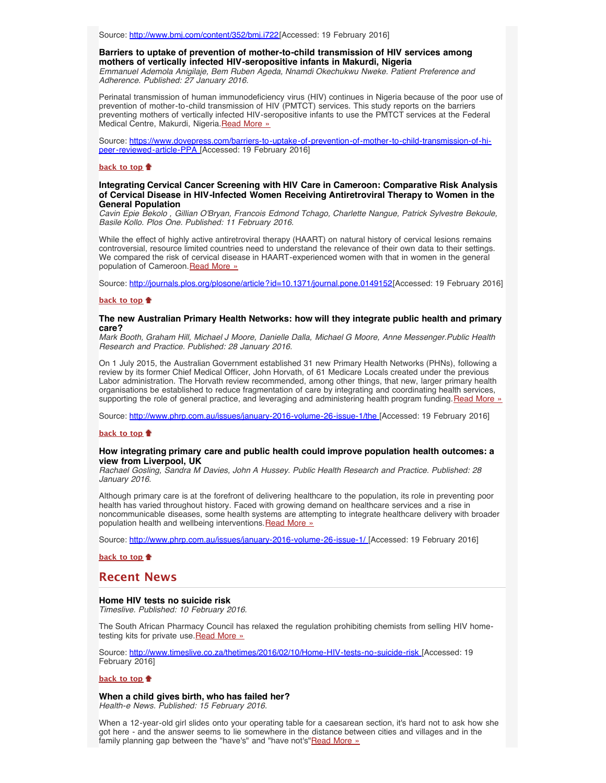Source: [http://www.bmj.com/content/352/bmj.i722\[](http://www.bmj.com/content/352/bmj.i722)Accessed: 19 February 2016]

## **Barriers to uptake of prevention of mother-to-child transmission of HIV services among mothers of vertically infected HIV-seropositive infants in Makurdi, Nigeria**

*Emmanuel Ademola Anigilaje, Bem Ruben Ageda, Nnamdi Okechukwu Nweke. Patient Preference and Adherence. Published: 27 January 2016.*

Perinatal transmission of human immunodeficiency virus (HIV) continues in Nigeria because of the poor use of prevention of mother-to-child transmission of HIV (PMTCT) services. This study reports on the barriers preventing mothers of vertically infected HIV-seropositive infants to use the PMTCT services at the Federal Medical Centre, Makurdi, Nigeria.[Read More »](https://www.dovepress.com/barriers-to-uptake-of-prevention-of-mother-to-child-transmission-of-hi-peer-reviewed-article-PPA)

Source: [https://www.dovepress.com/barriers-to-uptake-of-prevention-of-mother-to-child-transmission-of-hi](https://www.dovepress.com/barriers-to-uptake-of-prevention-of-mother-to-child-transmission-of-hi-peer-reviewed-article-PPA)[peer-reviewed-article-PPA](https://www.dovepress.com/barriers-to-uptake-of-prevention-of-mother-to-child-transmission-of-hi-peer-reviewed-article-PPA) [Accessed: 19 February 2016]

## **[back to top](#page-0-3)**

## **Integrating Cervical Cancer Screening with HIV Care in Cameroon: Comparative Risk Analysis of Cervical Disease in HIV-Infected Women Receiving Antiretroviral Therapy to Women in the General Population**

*Cavin Epie Bekolo , Gillian O'Bryan, Francois Edmond Tchago, Charlette Nangue, Patrick Sylvestre Bekoule, Basile Kollo. Plos One. Published: 11 February 2016.*

While the effect of highly active antiretroviral therapy (HAART) on natural history of cervical lesions remains controversial, resource limited countries need to understand the relevance of their own data to their settings. We compared the risk of cervical disease in HAART-experienced women with that in women in the general population of Cameroon. [Read More »](http://journals.plos.org/plosone/article?id=10.1371/journal.pone.0149152)

Source: <http://journals.plos.org/plosone/article?id=10.1371/journal.pone.0149152>[Accessed: 19 February 2016]

### **[back to top](#page-0-3)**

#### **The new Australian Primary Health Networks: how will they integrate public health and primary care?**

*Mark Booth, Graham Hill, Michael J Moore, Danielle Dalla, Michael G Moore, Anne Messenger.Public Health Research and Practice. Published: 28 January 2016.*

On 1 July 2015, the Australian Government established 31 new Primary Health Networks (PHNs), following a review by its former Chief Medical Officer, John Horvath, of 61 Medicare Locals created under the previous Labor administration. The Horvath review recommended, among other things, that new, larger primary health organisations be established to reduce fragmentation of care by integrating and coordinating health services, supporting the role of general practice, and leveraging and administering health program funding. [Read More »](http://www.phrp.com.au/issues/january-2016-volume-26-issue-1/the-new-australian-primary-health-networks-how-will-they-integrate-public-health-and-primary-care/)

Source: [http://www.phrp.com.au/issues/january-2016-volume-26-issue-1/the \[](http://www.phrp.com.au/issues/january-2016-volume-26-issue-1/the-new-australian-primary-health-networks-how-will-they-integrate-public-health-and-primary-care/)Accessed: 19 February 2016]

### **[back to top](#page-0-3)**

### <span id="page-1-0"></span>**How integrating primary care and public health could improve population health outcomes: a view from Liverpool, UK**

*Rachael Gosling, Sandra M Davies, John A Hussey. Public Health Research and Practice. Published: 28 January 2016.*

Although primary care is at the forefront of delivering healthcare to the population, its role in preventing poor health has varied throughout history. Faced with growing demand on healthcare services and a rise in noncommunicable diseases, some health systems are attempting to integrate healthcare delivery with broader population health and wellbeing interventions. [Read More »](http://www.phrp.com.au/issues/january-2016-volume-26-issue-1/how-integrating-primary-care-and-public-health-could-improve-population-health-outcomes-a-view-from-liverpool/)

Source: [http://www.phrp.com.au/issues/january-2016-volume-26-issue-1/ \[](http://www.phrp.com.au/issues/january-2016-volume-26-issue-1/how-integrating-primary-care-and-public-health-could-improve-population-health-outcomes-a-view-from-liverpool/)Accessed: 19 February 2016]

**[back to top](#page-0-3)**

## <span id="page-1-1"></span>**Recent News**

#### **Home HIV tests no suicide risk**

*Timeslive. Published: 10 February 2016.*

The South African Pharmacy Council has relaxed the regulation prohibiting chemists from selling HIV home-testing kits for private use. [Read More »](http://www.hst.org.za/news/home-hiv-tests-no-suicide-risk)

Source: [http://www.timeslive.co.za/thetimes/2016/02/10/Home-HIV-tests-no-suicide-risk \[](http://www.timeslive.co.za/thetimes/2016/02/10/Home-HIV-tests-no-suicide-risk)Accessed: 19 February 2016]

### **[back to top](#page-0-3)**

<span id="page-1-2"></span>**When a child gives birth, who has failed her?**

*Health-e News. Published: 15 February 2016.*

When a 12-year-old girl slides onto your operating table for a caesarean section, it's hard not to ask how she got here - and the answer seems to lie somewhere in the distance between cities and villages and in the family planning gap between the "have's" and "have not's" [Read More »](http://www.hst.org.za/news/when-child-gives-birth-who-has-failed-her)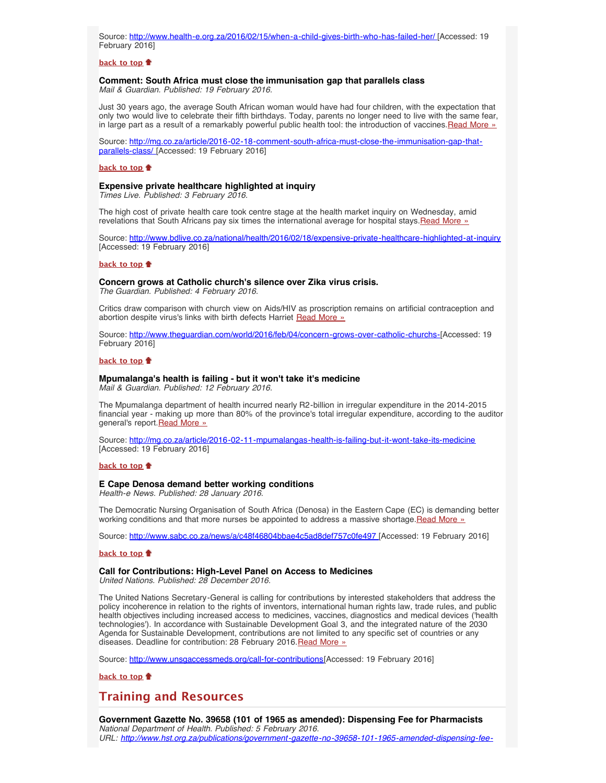Source: <http://www.health-e.org.za/2016/02/15/when-a-child-gives-birth-who-has-failed-her/>[Accessed: 19 February 2016]

#### **[back to top](#page-0-3)**

# **Comment: South Africa must close the immunisation gap that parallels class**

*Mail & Guardian. Published: 19 February 2016.*

Just 30 years ago, the average South African woman would have had four children, with the expectation that only two would live to celebrate their fifth birthdays. Today, parents no longer need to live with the same fear, in large part as a result of a remarkably powerful public health tool: the introduction of vaccines. [Read More »](http://www.hst.org.za/news/comment-south-africa-must-close-immunisation-gap-parallels-class)

Source: [http://mg.co.za/article/2016-02-18-comment-south-africa-must-close-the-immunisation-gap-that](http://mg.co.za/article/2016-02-18-comment-south-africa-must-close-the-immunisation-gap-that-parallels-class/)[parallels-class/ \[](http://mg.co.za/article/2016-02-18-comment-south-africa-must-close-the-immunisation-gap-that-parallels-class/)Accessed: 19 February 2016]

#### **[back to top](#page-0-3)**

## **Expensive private healthcare highlighted at inquiry**

*Times Live. Published: 3 February 2016.*

The high cost of private health care took centre stage at the health market inquiry on Wednesday, amid revelations that South Africans pay six times the international average for hospital stays. [Read More »](http://www.hst.org.za/news/expensive-private-healthcare-highlighted-inquiry)

Source: <http://www.bdlive.co.za/national/health/2016/02/18/expensive-private-healthcare-highlighted-at-inquiry> [Accessed: 19 February 2016]

#### **[back to top](#page-0-3)**

### <span id="page-2-2"></span>**Concern grows at Catholic church's silence over Zika virus crisis.**

*The Guardian. Published: 4 February 2016.*

Critics draw comparison with church view on Aids/HIV as proscription remains on artificial contraception and abortion despite virus's links with birth defects Harriet [Read More »](http://www.hst.org.za/news/concern-grows-catholic-churchs-silence-over-zika-virus-crisis)

Source: [http://www.theguardian.com/world/2016/feb/04/concern-grows-over-catholic-churchs-](http://www.theguardian.com/world/2016/feb/04/concern-grows-over-catholic-churchs-silence-over-zika-virus-crisis-abortion-contraception)[Accessed: 19 February 2016]

## **[back to top](#page-0-3)**

#### **Mpumalanga's health is failing - but it won't take it's medicine**

*Mail & Guardian. Published: 12 February 2016.*

The Mpumalanga department of health incurred nearly R2-billion in irregular expenditure in the 2014-2015 financial year - making up more than 80% of the province's total irregular expenditure, according to the auditor general's report. [Read More »](http://www.hst.org.za/news/mpumalangas-health-failing-it-wont-take-its-medicine)

Source: <http://mg.co.za/article/2016-02-11-mpumalangas-health-is-failing-but-it-wont-take-its-medicine> [Accessed: 19 February 2016]

#### **[back to top](#page-0-3)**

#### <span id="page-2-0"></span>**E Cape Denosa demand better working conditions**

*Health-e News. Published: 28 January 2016.*

The Democratic Nursing Organisation of South Africa (Denosa) in the Eastern Cape (EC) is demanding better working conditions and that more nurses be appointed to address a massive shortage. [Read More »](http://www.hst.org.za/news/e-cape-denosa-demand-better-working-conditions)

Source: [http://www.sabc.co.za/news/a/c48f46804bbae4c5ad8def757c0fe497 \[](http://www.sabc.co.za/news/a/c48f46804bbae4c5ad8def757c0fe497/-E-Cape-Denosa-demand-better-working-conditions--20160218)Accessed: 19 February 2016]

## **[back to top](#page-0-3)**

## <span id="page-2-1"></span>**Call for Contributions: High-Level Panel on Access to Medicines**

*United Nations. Published: 28 December 2016.*

The United Nations Secretary-General is calling for contributions by interested stakeholders that address the policy incoherence in relation to the rights of inventors, international human rights law, trade rules, and public health objectives including increased access to medicines, vaccines, diagnostics and medical devices ('health technologies'). In accordance with Sustainable Development Goal 3, and the integrated nature of the 2030 Agenda for Sustainable Development, contributions are not limited to any specific set of countries or any diseases. Deadline for contribution: 28 February 2016. [Read More »](http://www.hst.org.za/news/call-contributions-high-level-panel-access-medicines)

Source: [http://www.unsgaccessmeds.org/call-for-contributions\[](http://www.unsgaccessmeds.org/call-for-contributions)Accessed: 19 February 2016]

## **[back to top](#page-0-3)**

## **Training and Resources**

**Government Gazette No. 39658 (101 of 1965 as amended): Dispensing Fee for Pharmacists** *National Department of Health. Published: 5 February 2016. URL: [http://www.hst.org.za/publications/government-gazette-no-39658-101-1965-amended-dispensing-fee-](http://www.hst.org.za/publications/government-gazette-no-39658-101-1965-amended-dispensing-fee-pharmacists)*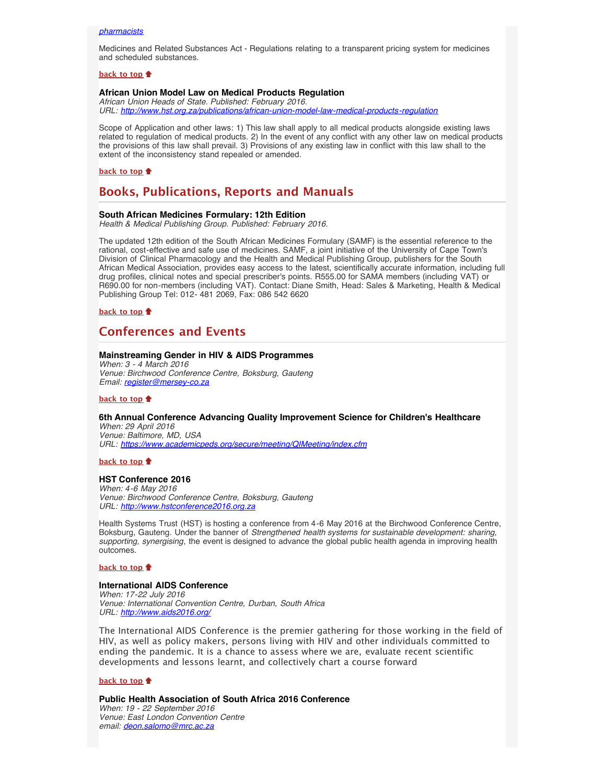### *[pharmacists](http://www.hst.org.za/publications/government-gazette-no-39658-101-1965-amended-dispensing-fee-pharmacists)*

Medicines and Related Substances Act - Regulations relating to a transparent pricing system for medicines and scheduled substances.

#### **[back to top](#page-0-3)**

## <span id="page-3-0"></span>**African Union Model Law on Medical Products Regulation**

*African Union Heads of State. Published: February 2016. URL: <http://www.hst.org.za/publications/african-union-model-law-medical-products-regulation>*

Scope of Application and other laws: 1) This law shall apply to all medical products alongside existing laws related to regulation of medical products. 2) In the event of any conflict with any other law on medical products the provisions of this law shall prevail. 3) Provisions of any existing law in conflict with this law shall to the extent of the inconsistency stand repealed or amended.

#### **[back to top](#page-0-3)**

## <span id="page-3-1"></span>**Books, Publications, Reports and Manuals**

#### <span id="page-3-2"></span>**South African Medicines Formulary: 12th Edition**

*Health & Medical Publishing Group. Published: February 2016.*

The updated 12th edition of the South African Medicines Formulary (SAMF) is the essential reference to the rational, cost-effective and safe use of medicines. SAMF, a joint initiative of the University of Cape Town's Division of Clinical Pharmacology and the Health and Medical Publishing Group, publishers for the South African Medical Association, provides easy access to the latest, scientifically accurate information, including full drug profiles, clinical notes and special prescriber's points. R555.00 for SAMA members (including VAT) or R690.00 for non-members (including VAT). Contact: Diane Smith, Head: Sales & Marketing, Health & Medical Publishing Group Tel: 012- 481 2069, Fax: 086 542 6620

**[back to top](#page-0-3)**

## <span id="page-3-3"></span>**Conferences and Events**

### **Mainstreaming Gender in HIV & AIDS Programmes**

*When: 3 - 4 March 2016 Venue: Birchwood Conference Centre, Boksburg, Gauteng Email: [register@mersey-co.za](file:///Users/DTP/Desktop/register@mersey-co.za)*

#### **[back to top](#page-0-3)**

## **6th Annual Conference Advancing Quality Improvement Science for Children's Healthcare**

*When: 29 April 2016 Venue: Baltimore, MD, USA URL: <https://www.academicpeds.org/secure/meeting/QIMeeting/index.cfm>*

## **[back to top](#page-0-3)**

#### **HST Conference 2016**

*When: 4-6 May 2016 Venue: Birchwood Conference Centre, Boksburg, Gauteng URL: [http://www.hstconference2016.org.za](http://www.hstconference2016.org.za/)*

Health Systems Trust (HST) is hosting a conference from 4-6 May 2016 at the Birchwood Conference Centre, Boksburg, Gauteng. Under the banner of *Strengthened health systems for sustainable development: sharing, supporting, synergising*, the event is designed to advance the global public health agenda in improving health outcomes.

#### **[back to top](#page-0-3)**

#### **International AIDS Conference**

*When: 17-22 July 2016 Venue: International Convention Centre, Durban, South Africa URL: <http://www.aids2016.org/>*

The International AIDS Conference is the premier gathering for those working in the field of HIV, as well as policy makers, persons living with HIV and other individuals committed to ending the pandemic. It is a chance to assess where we are, evaluate recent scientific developments and lessons learnt, and collectively chart a course forward

## **[back to top](#page-0-3)**

**Public Health Association of South Africa 2016 Conference** *When: 19 - 22 September 2016 Venue: East London Convention Centre email: [deon.salomo@mrc.ac.za](file:///Users/DTP/Desktop/deon.salomo@mrc.ac.za)*